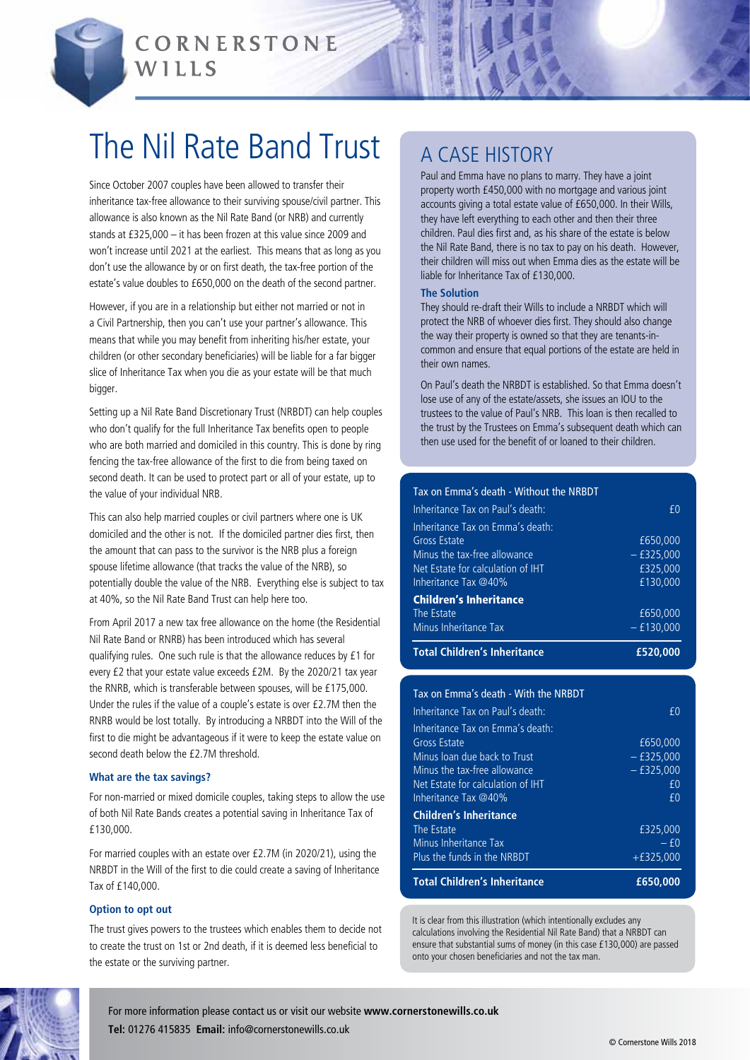

CORNERSTONE WILLS

# The Nil Rate Band Trust

Since October 2007 couples have been allowed to transfer their inheritance tax-free allowance to their surviving spouse/civil partner. This allowance is also known as the Nil Rate Band (or NRB) and currently stands at £325,000 – it has been frozen at this value since 2009 and won't increase until 2021 at the earliest. This means that as long as you don't use the allowance by or on first death, the tax-free portion of the estate's value doubles to £650,000 on the death of the second partner.

However, if you are in a relationship but either not married or not in a Civil Partnership, then you can't use your partner's allowance. This means that while you may benefit from inheriting his/her estate, your children (or other secondary beneficiaries) will be liable for a far bigger slice of Inheritance Tax when you die as your estate will be that much bigger.

Setting up a Nil Rate Band Discretionary Trust (NRBDT) can help couples who don't qualify for the full Inheritance Tax benefits open to people who are both married and domiciled in this country. This is done by ring fencing the tax-free allowance of the first to die from being taxed on second death. It can be used to protect part or all of your estate, up to the value of your individual NRB.

This can also help married couples or civil partners where one is UK domiciled and the other is not. If the domiciled partner dies first, then the amount that can pass to the survivor is the NRB plus a foreign spouse lifetime allowance (that tracks the value of the NRB), so potentially double the value of the NRB. Everything else is subject to tax at 40%, so the Nil Rate Band Trust can help here too.

From April 2017 a new tax free allowance on the home (the Residential Nil Rate Band or RNRB) has been introduced which has several qualifying rules. One such rule is that the allowance reduces by £1 for every £2 that your estate value exceeds £2M. By the 2020/21 tax year the RNRB, which is transferable between spouses, will be £175,000. Under the rules if the value of a couple's estate is over £2.7M then the RNRB would be lost totally. By introducing a NRBDT into the Will of the first to die might be advantageous if it were to keep the estate value on second death below the £2.7M threshold.

#### **What are the tax savings?**

For non-married or mixed domicile couples, taking steps to allow the use of both Nil Rate Bands creates a potential saving in Inheritance Tax of £130,000.

For married couples with an estate over £2.7M (in 2020/21), using the NRBDT in the Will of the first to die could create a saving of Inheritance Tax of £140,000.

#### **Option to opt out**

The trust gives powers to the trustees which enables them to decide not to create the trust on 1st or 2nd death, if it is deemed less beneficial to the estate or the surviving partner.

## A Case history

Paul and Emma have no plans to marry. They have a joint property worth £450,000 with no mortgage and various joint accounts giving a total estate value of £650,000. In their Wills, they have left everything to each other and then their three children. Paul dies first and, as his share of the estate is below the Nil Rate Band, there is no tax to pay on his death. However, their children will miss out when Emma dies as the estate will be liable for Inheritance Tax of £130,000.

#### **The Solution**

They should re-draft their Wills to include a NRBDT which will protect the NRB of whoever dies first. They should also change the way their property is owned so that they are tenants-incommon and ensure that equal portions of the estate are held in their own names.

On Paul's death the NRBDT is established. So that Emma doesn't lose use of any of the estate/assets, she issues an IOU to the trustees to the value of Paul's NRB. This loan is then recalled to the trust by the Trustees on Emma's subsequent death which can then use used for the benefit of or loaned to their children.

### Tax on Emma's death - Without the NRBDT

| Inheritance Tax on Paul's death:    | f0           |
|-------------------------------------|--------------|
| Inheritance Tax on Emma's death:    |              |
| Gross Estate                        | £650,000     |
| Minus the tax-free allowance        | $-£325,000$  |
| Net Estate for calculation of IHT   | £325,000     |
| Inheritance Tax @40%                | £130,000     |
| <b>Children's Inheritance</b>       |              |
| The Estate                          | £650,000     |
| Minus Inheritance Tax               | $-$ £130,000 |
| <b>Total Children's Inheritance</b> | £520,000     |

| <b>Total Children's Inheritance</b>  | £650,000     |
|--------------------------------------|--------------|
| Plus the funds in the NRBDT          | $+£325.000$  |
| Minus Inheritance Tax                | $- f($       |
| The Estate                           | £325.000     |
| <b>Children's Inheritance</b>        |              |
| Inheritance Tax $@40\%$              | f()          |
| Net Estate for calculation of IHT    | £0           |
| Minus the tax-free allowance         | $-$ £325,000 |
| Minus loan due back to Trust         | $-$ £325.000 |
| Gross Estate                         | £650,000     |
| Inheritance Tax on Emma's death:     |              |
| Inheritance Tax on Paul's death:     | f()          |
| Tax on Emma's death - With the NRBDT |              |
|                                      |              |

It is clear from this illustration (which intentionally excludes any calculations involving the Residential Nil Rate Band) that a NRBDT can ensure that substantial sums of money (in this case £130,000) are passed onto your chosen beneficiaries and not the tax man.